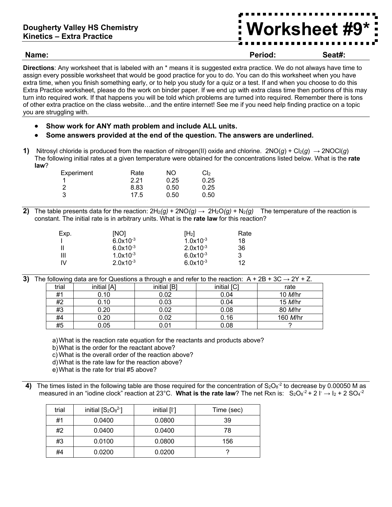**Name: Period: Seat#:**

**Worksheet #9\***

**Directions**: Any worksheet that is labeled with an \* means it is suggested extra practice. We do not always have time to assign every possible worksheet that would be good practice for you to do. You can do this worksheet when you have extra time, when you finish something early, or to help you study for a quiz or a test. If and when you choose to do this Extra Practice worksheet, please do the work on binder paper. If we end up with extra class time then portions of this may turn into required work. If that happens you will be told which problems are turned into required. Remember there is tons of other extra practice on the class website…and the entire internet! See me if you need help finding practice on a topic you are struggling with.

- **Show work for ANY math problem and include ALL units.**
- **Some answers provided at the end of the question. The answers are underlined.**
- **1)** Nitrosyl chloride is produced from the reaction of nitrogen(II) oxide and chlorine.  $2NO(g) + Cl_2(g) \rightarrow 2NOCl(g)$ The following initial rates at a given temperature were obtained for the concentrations listed below. What is the **rate law**?

| Experiment | Rate | NO.  | Cl <sub>2</sub> |
|------------|------|------|-----------------|
|            | 2.21 | 0.25 | 0.25            |
| -2         | 8.83 | 0.50 | 0.25            |
| -3         | 17.5 | 0.50 | 0.50            |

**2)** The table presents data for the reaction:  $2H_2(g) + 2NO(g) \rightarrow 2H_2O(g) + N_2(g)$  The temperature of the reaction is constant. The initial rate is in arbitrary units. What is the **rate law** for this reaction?

| Exp. | [NO]          | $[H_2]$       | Rate |
|------|---------------|---------------|------|
|      | $6.0x10^{-3}$ | $1.0x10^{-3}$ | 18   |
|      | $6.0x10^{-3}$ | $2.0x10^{-3}$ | 36   |
| Ш    | $1.0x10^{-3}$ | $6.0x10^{-3}$ | 3    |
| IV   | $2.0x10^{-3}$ | $6.0x10^{-3}$ | 12   |

**3)** The following data are for Questions a through e and refer to the reaction: A + 2B + 3C **→** 2Y + Z.

| trial | initial [A] | initial [B] | initial [C] | rate            |
|-------|-------------|-------------|-------------|-----------------|
| #1    | 0.10        | 0.02        | 0.04        | 10 <i>M</i> /hr |
| #2    | 0.10        | 0.03        | 0.04        | 15 <i>M</i> /hr |
| #3    | 0.20        | 0.02        | 0.08        | 80 M/hr         |
| #4    | 0.20        | 0.02        | 0.16        | 160 M/hr        |
| #5    | 0.05        | 0.01        | 0.08        |                 |

a)What is the reaction rate equation for the reactants and products above?

b)What is the order for the reactant above?

c) What is the overall order of the reaction above?

d)What is the rate law for the reaction above?

e)What is the rate for trial #5 above?

4) The times listed in the following table are those required for the concentration of  $S_2O_8^{-2}$  to decrease by 0.00050 M as measured in an "iodine clock" reaction at 23°C. What is the rate law? The net Rxn is:  $S_2O_8^{-2}$ + 2 l<sup>-</sup>  $\rightarrow$  l<sub>2</sub> + 2 SO<sub>4</sub><sup>-2</sup>

| trial | initial $[S_2O_8^2]$ | initial [I <sup>-</sup> ] | Time (sec) |
|-------|----------------------|---------------------------|------------|
| #1    | 0.0400               | 0.0800                    | 39         |
| #2    | 0.0400               | 0.0400                    | 78         |
| #3    | 0.0100               | 0.0800                    | 156        |
| #4    | 0.0200               | 0.0200                    |            |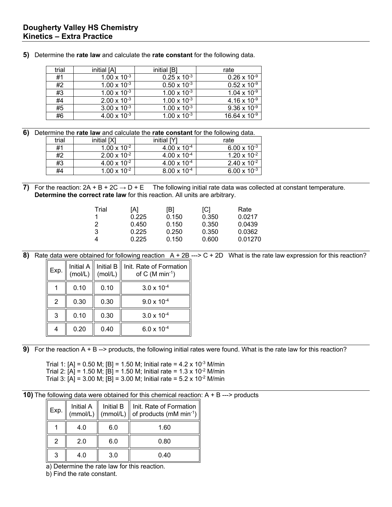| trial | initial [A]           | initial [B]           | rate                        |
|-------|-----------------------|-----------------------|-----------------------------|
| #1    | $1.00 \times 10^{-3}$ | $0.25 \times 10^{-3}$ | $0.26 \times 10^{-9}$       |
| #2    | $1.00 \times 10^{-3}$ | $0.50 \times 10^{-3}$ | $0.52 \times 10^{-9}$       |
| #3    | $1.00 \times 10^{-3}$ | $1.00 \times 10^{-3}$ | $1.04 \times 10^{-9}$       |
| #4    | $2.00 \times 10^{-3}$ | $1.00 \times 10^{-3}$ | 4.16 x $\overline{10^{-9}}$ |
| #5    | $3.00 \times 10^{-3}$ | $1.00 \times 10^{-3}$ | 9.36 x $10^{-9}$            |
| #6    | $4.00 \times 10^{-3}$ | $1.00 \times 10^{-3}$ | $16.64 \times 10^{-9}$      |

**5)** Determine the **rate law** and calculate the **rate constant** for the following data.

**6)** Determine the **rate law** and calculate the **rate constant** for the following data.

| trial | initial [X]           | initial [Y]           | rate                  |
|-------|-----------------------|-----------------------|-----------------------|
| #1    | $1.00 \times 10^{-2}$ | $4.00 \times 10^{-4}$ | $6.00 \times 10^{-3}$ |
| #2    | $2.00 \times 10^{-2}$ | $4.00 \times 10^{-4}$ | $1.20 \times 10^{-2}$ |
| #3    | $4.00 \times 10^{-2}$ | $4.00 \times 10^{-4}$ | $2.40 \times 10^{-2}$ |
| #4    | $1.00 \times 10^{-2}$ | $8.00 \times 10^{-4}$ | $6.00 \times 10^{-3}$ |

**7)** For the reaction:  $2A + B + 2C \rightarrow D + E$  The following initial rate data was collected at constant temperature. **Determine the correct rate law** for this reaction. All units are arbitrary.

| Trial<br>2<br>3 | [A]<br>0.225<br>0.450<br>0.225<br>0.225 | [B]<br>0.150<br>0.150<br>0.250<br>0.150 | [C]<br>0.350<br>0.350<br>0.350<br>0.600 | Rate<br>0.0217<br>0.0439<br>0.0362<br>0.01270 |
|-----------------|-----------------------------------------|-----------------------------------------|-----------------------------------------|-----------------------------------------------|
|-----------------|-----------------------------------------|-----------------------------------------|-----------------------------------------|-----------------------------------------------|

```
8) Rate data were obtained for following reaction A + 2B ---> C + 2D What is the rate law expression for this reaction?
```

| Exp.           |      |      | Initial A $\parallel$ Initial B $\parallel$ Init. Rate of Formation (mol/L) $\parallel$ (mol/L) of C (M min <sup>-1</sup> ) |
|----------------|------|------|-----------------------------------------------------------------------------------------------------------------------------|
|                | 0.10 | 0.10 | $3.0 \times 10^{-4}$                                                                                                        |
| $\overline{2}$ | 0.30 | 0.30 | $9.0 \times 10^{-4}$                                                                                                        |
| 3              | 0.10 | 0.30 | $3.0 \times 10^{-4}$                                                                                                        |
|                | 0.20 | 0.40 | $6.0 \times 10^{-4}$                                                                                                        |

**9)** For the reaction A + B --> products, the following initial rates were found. What is the rate law for this reaction?

Trial 1: [A] = 0.50 M; [B] = 1.50 M; Initial rate =  $4.2 \times 10^{-3}$  M/min Trial 2:  $[A] = 1.50$  M;  $[B] = 1.50$  M; Initial rate =  $1.3 \times 10^{-2}$  M/min Trial 3: [A] = 3.00 M; [B] = 3.00 M; Initial rate =  $5.2 \times 10^{-2}$  M/min

**10)** The following data were obtained for this chemical reaction: A + B ---> products

| Exp. | $\left\vert \text{Initial A} \right\vert$ (mmol/L) |     | Initial B $\parallel$ Init. Rate of Formation<br>(mmol/L) $\parallel$ of products (mM min <sup>-1</sup> ) |
|------|----------------------------------------------------|-----|-----------------------------------------------------------------------------------------------------------|
|      | 4.0                                                | 6.0 | 1.60                                                                                                      |
| 2    | 2.0                                                | 6.0 | 0.80                                                                                                      |
| 3    | 4.0                                                | 3.0 | 0.40                                                                                                      |

a) Determine the rate law for this reaction.

b) Find the rate constant.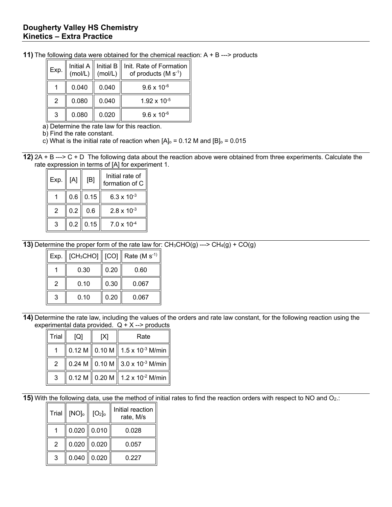| Exp. |       |       | Initial A    Initial B    Init. Rate of Formation<br>(mol/L) $\parallel$ (mol/L)    of products (M s <sup>-1</sup> ) |
|------|-------|-------|----------------------------------------------------------------------------------------------------------------------|
|      | 0.040 | 0.040 | $9.6 \times 10^{-6}$                                                                                                 |
| 2    | 0.080 | 0.040 | $1.92 \times 10^{-5}$                                                                                                |
| 3    | 0.080 | 0.020 | $9.6 \times 10^{-6}$                                                                                                 |

**11)** The following data were obtained for the chemical reaction: A + B ---> products

a) Determine the rate law for this reaction.

b) Find the rate constant.

c) What is the initial rate of reaction when  $[A]_0 = 0.12$  M and  $[B]_0 = 0.015$ 

**12)** 2A + B ---> C + D The following data about the reaction above were obtained from three experiments. Calculate the rate expression in terms of [A] for experiment 1.

| Exp. | [A] | [B]              | Initial rate of<br>formation of C |
|------|-----|------------------|-----------------------------------|
|      |     | $0.6$   0.15     | 6.3 x $10^{-3}$                   |
| 2    | 0.2 | 0.6              | $2.8 \times 10^{-3}$              |
| 3    | 0.2 | $\parallel$ 0.15 | $7.0 \times 10^{-4}$              |

**13)** Determine the proper form of the rate law for:  $CH_3CHO(g)$  --->  $CH_4(g) + CO(g)$ 

| Exp. | $ICH_3CHOJ$ $\parallel$ $ICOJ$ $\parallel$ |      | Rate $(M s-1)$ |
|------|--------------------------------------------|------|----------------|
|      | 0.30                                       | 0.20 | 0.60           |
| 2    | 0.10                                       | 0.30 | 0.067          |
| 3    | 0.10                                       | 0.20 | 0.067          |

**14)** Determine the rate law, including the values of the orders and rate law constant, for the following reaction using the experimental data provided.  $Q + X \rightarrow$  products

| Trial | $\lceil Q \rceil$ | [X] | Rate                                                                           |  |
|-------|-------------------|-----|--------------------------------------------------------------------------------|--|
|       |                   |     | $\parallel$ 0.12 M $\parallel$ 0.10 M $\parallel$ 1.5 x 10 <sup>-3</sup> M/min |  |
| 2     |                   |     | 0.24 M $\parallel$ 0.10 M $\parallel$ 3.0 x 10 <sup>-3</sup> M/min             |  |
| 3     |                   |     | 0.12 M    0.20 M    1.2 x 10 <sup>-2</sup> M/min                               |  |

**15)** With the following data, use the method of initial rates to find the reaction orders with respect to NO and O<sub>2</sub>.:

| Trial | $[NO]_{0}$    | [O <sub>2</sub> ] | Initial reaction  <br>rate, M/s |
|-------|---------------|-------------------|---------------------------------|
|       |               | $0.020$ 0.010     | 0.028                           |
| 2     | $0.020$ 0.020 |                   | 0.057                           |
| 3     |               | $0.040$ 0.020     | 0.227                           |